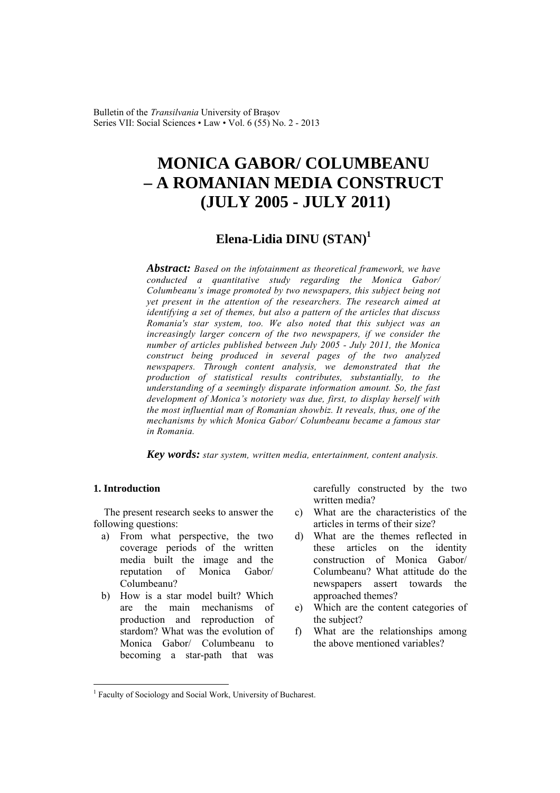Bulletin of the *Transilvania* University of Braşov Series VII: Social Sciences • Law • Vol. 6 (55) No. 2 - 2013

# **MONICA GABOR/ COLUMBEANU – A ROMANIAN MEDIA CONSTRUCT (JULY 2005 - JULY 2011)**

# **Elena-Lidia DINU (STAN)<sup>1</sup>**

*Abstract: Based on the infotainment as theoretical framework, we have conducted a quantitative study regarding the Monica Gabor/ Columbeanu's image promoted by two newspapers, this subject being not yet present in the attention of the researchers. The research aimed at identifying a set of themes, but also a pattern of the articles that discuss Romania's star system, too. We also noted that this subject was an increasingly larger concern of the two newspapers, if we consider the number of articles published between July 2005 - July 2011, the Monica construct being produced in several pages of the two analyzed newspapers. Through content analysis, we demonstrated that the production of statistical results contributes, substantially, to the understanding of a seemingly disparate information amount. So, the fast development of Monica's notoriety was due, first, to display herself with the most influential man of Romanian showbiz. It reveals, thus, one of the mechanisms by which Monica Gabor/ Columbeanu became a famous star in Romania.* 

*Key words: star system, written media, entertainment, content analysis.* 

# **1. Introduction**

 $\overline{a}$ 

The present research seeks to answer the following questions:

- a) From what perspective, the two coverage periods of the written media built the image and the reputation of Monica Gabor/ Columbeanu?
- b) How is a star model built? Which are the main mechanisms of production and reproduction of stardom? What was the evolution of Monica Gabor/ Columbeanu to becoming a star-path that was

carefully constructed by the two written media?

- c) What are the characteristics of the articles in terms of their size?
- d) What are the themes reflected in these articles on the identity construction of Monica Gabor/ Columbeanu? What attitude do the newspapers assert towards the approached themes?
- e) Which are the content categories of the subject?
- f) What are the relationships among the above mentioned variables?

<sup>&</sup>lt;sup>1</sup> Faculty of Sociology and Social Work, University of Bucharest.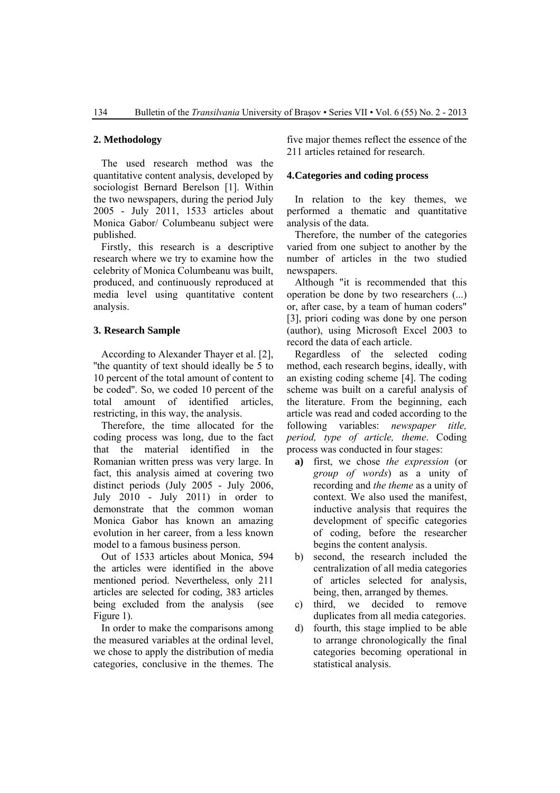#### **2. Methodology**

The used research method was the quantitative content analysis, developed by sociologist Bernard Berelson [1]. Within the two newspapers, during the period July 2005 - July 2011, 1533 articles about Monica Gabor/ Columbeanu subject were published.

Firstly, this research is a descriptive research where we try to examine how the celebrity of Monica Columbeanu was built, produced, and continuously reproduced at media level using quantitative content analysis.

### **3. Research Sample**

According to Alexander Thayer et al. [2], ''the quantity of text should ideally be 5 to 10 percent of the total amount of content to be coded''. So, we coded 10 percent of the total amount of identified articles, restricting, in this way, the analysis.

Therefore, the time allocated for the coding process was long, due to the fact that the material identified in the Romanian written press was very large. In fact, this analysis aimed at covering two distinct periods (July 2005 - July 2006, July 2010 - July 2011) in order to demonstrate that the common woman Monica Gabor has known an amazing evolution in her career, from a less known model to a famous business person.

Out of 1533 articles about Monica, 594 the articles were identified in the above mentioned period. Nevertheless, only 211 articles are selected for coding, 383 articles being excluded from the analysis (see Figure 1).

In order to make the comparisons among the measured variables at the ordinal level, we chose to apply the distribution of media categories, conclusive in the themes. The

five major themes reflect the essence of the 211 articles retained for research.

#### **4.Categories and coding process**

In relation to the key themes, we performed a thematic and quantitative analysis of the data.

Therefore, the number of the categories varied from one subject to another by the number of articles in the two studied newspapers.

Although "it is recommended that this operation be done by two researchers (...) or, after case, by a team of human coders" [3], priori coding was done by one person (author), using Microsoft Excel 2003 to record the data of each article.

Regardless of the selected coding method, each research begins, ideally, with an existing coding scheme [4]. The coding scheme was built on a careful analysis of the literature. From the beginning, each article was read and coded according to the following variables: *newspaper title, period, type of article, theme*. Coding process was conducted in four stages:

- **a)** first, we chose *the expression* (or *group of words*) as a unity of recording and *the theme* as a unity of context. We also used the manifest, inductive analysis that requires the development of specific categories of coding, before the researcher begins the content analysis.
- b) second, the research included the centralization of all media categories of articles selected for analysis, being, then, arranged by themes.
- c) third, we decided to remove duplicates from all media categories.
- d) fourth, this stage implied to be able to arrange chronologically the final categories becoming operational in statistical analysis.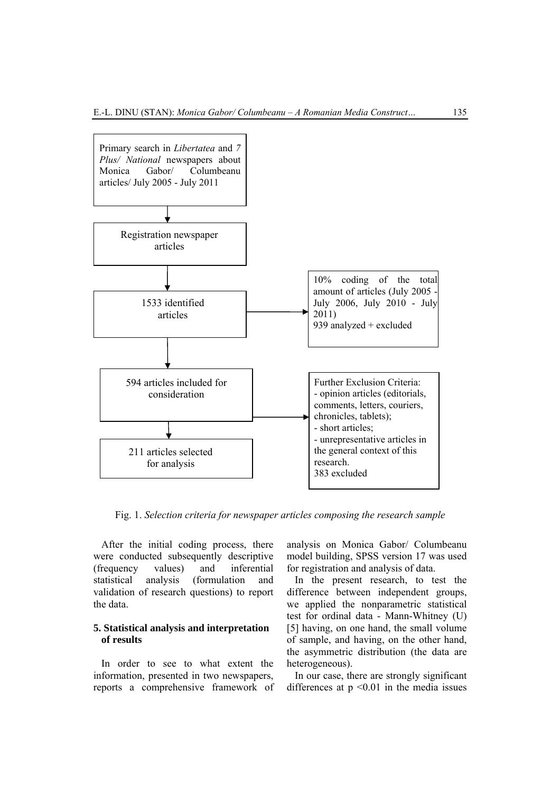

Fig. 1. *Selection criteria for newspaper articles composing the research sample* 

After the initial coding process, there were conducted subsequently descriptive (frequency values) and inferential statistical analysis (formulation and validation of research questions) to report the data.

## **5. Statistical analysis and interpretation of results**

In order to see to what extent the information, presented in two newspapers, reports a comprehensive framework of analysis on Monica Gabor/ Columbeanu model building, SPSS version 17 was used for registration and analysis of data.

In the present research, to test the difference between independent groups, we applied the nonparametric statistical test for ordinal data - Mann-Whitney (U) [5] having, on one hand, the small volume of sample, and having, on the other hand, the asymmetric distribution (the data are heterogeneous).

In our case, there are strongly significant differences at  $p \le 0.01$  in the media issues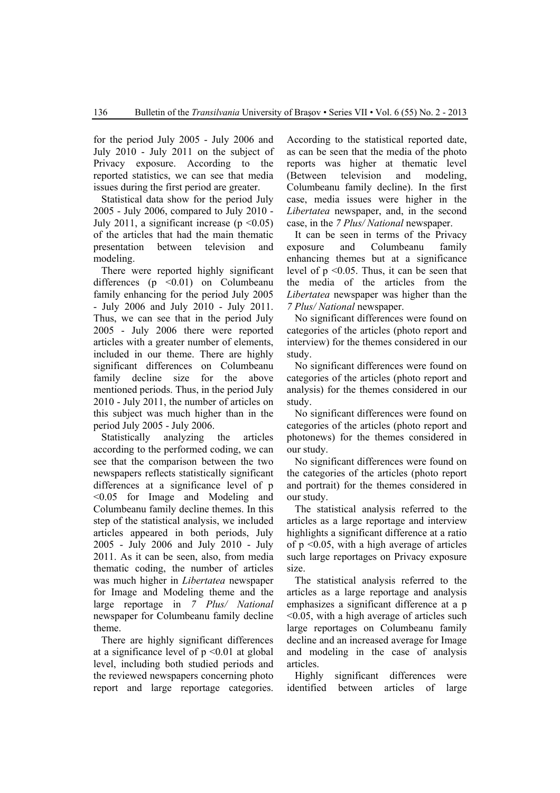for the period July 2005 - July 2006 and July 2010 - July 2011 on the subject of Privacy exposure. According to the reported statistics, we can see that media issues during the first period are greater.

Statistical data show for the period July 2005 - July 2006, compared to July 2010 - July 2011, a significant increase ( $p \le 0.05$ ) of the articles that had the main thematic presentation between television and modeling.

There were reported highly significant differences ( $p \leq 0.01$ ) on Columbeanu family enhancing for the period July 2005 - July 2006 and July 2010 - July 2011. Thus, we can see that in the period July 2005 - July 2006 there were reported articles with a greater number of elements, included in our theme. There are highly significant differences on Columbeanu family decline size for the above mentioned periods. Thus, in the period July 2010 - July 2011, the number of articles on this subject was much higher than in the period July 2005 - July 2006.

Statistically analyzing the articles according to the performed coding, we can see that the comparison between the two newspapers reflects statistically significant differences at a significance level of p <0.05 for Image and Modeling and Columbeanu family decline themes. In this step of the statistical analysis, we included articles appeared in both periods, July 2005 - July 2006 and July 2010 - July 2011. As it can be seen, also, from media thematic coding, the number of articles was much higher in *Libertatea* newspaper for Image and Modeling theme and the large reportage in *7 Plus/ National* newspaper for Columbeanu family decline theme.

There are highly significant differences at a significance level of  $p \le 0.01$  at global level, including both studied periods and the reviewed newspapers concerning photo report and large reportage categories.

According to the statistical reported date, as can be seen that the media of the photo reports was higher at thematic level (Between television and modeling, Columbeanu family decline). In the first case, media issues were higher in the *Libertatea* newspaper, and, in the second case, in the *7 Plus/ National* newspaper.

It can be seen in terms of the Privacy exposure and Columbeanu family enhancing themes but at a significance level of p <0.05. Thus, it can be seen that the media of the articles from the *Libertatea* newspaper was higher than the *7 Plus/ National* newspaper.

No significant differences were found on categories of the articles (photo report and interview) for the themes considered in our study.

No significant differences were found on categories of the articles (photo report and analysis) for the themes considered in our study.

No significant differences were found on categories of the articles (photo report and photonews) for the themes considered in our study.

No significant differences were found on the categories of the articles (photo report and portrait) for the themes considered in our study.

The statistical analysis referred to the articles as a large reportage and interview highlights a significant difference at a ratio of p <0.05, with a high average of articles such large reportages on Privacy exposure size.

The statistical analysis referred to the articles as a large reportage and analysis emphasizes a significant difference at a p <0.05, with a high average of articles such large reportages on Columbeanu family decline and an increased average for Image and modeling in the case of analysis articles.

Highly significant differences were identified between articles of large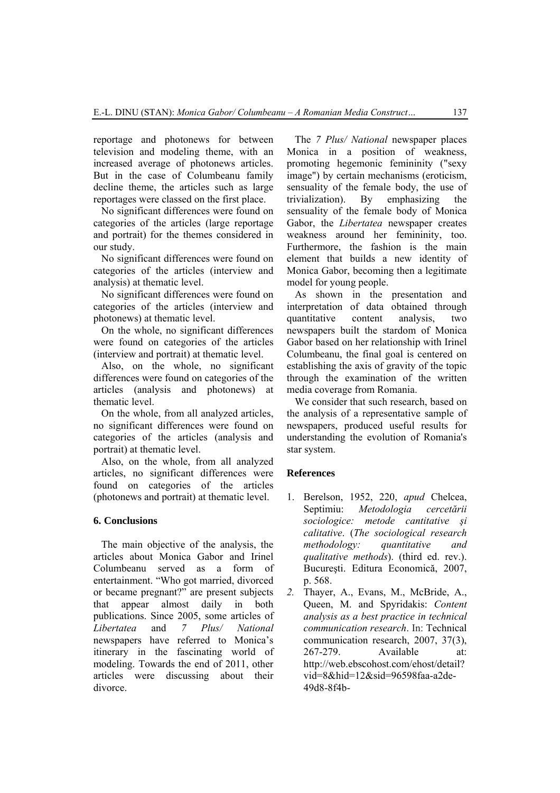reportage and photonews for between television and modeling theme, with an increased average of photonews articles. But in the case of Columbeanu family decline theme, the articles such as large reportages were classed on the first place.

No significant differences were found on categories of the articles (large reportage and portrait) for the themes considered in our study.

No significant differences were found on categories of the articles (interview and analysis) at thematic level.

No significant differences were found on categories of the articles (interview and photonews) at thematic level.

On the whole, no significant differences were found on categories of the articles (interview and portrait) at thematic level.

Also, on the whole, no significant differences were found on categories of the articles (analysis and photonews) at thematic level.

On the whole, from all analyzed articles, no significant differences were found on categories of the articles (analysis and portrait) at thematic level.

Also, on the whole, from all analyzed articles, no significant differences were found on categories of the articles (photonews and portrait) at thematic level.

### **6. Conclusions**

The main objective of the analysis, the articles about Monica Gabor and Irinel Columbeanu served as a form of entertainment. "Who got married, divorced or became pregnant?" are present subjects that appear almost daily in both publications. Since 2005, some articles of *Libertatea* and *7 Plus/ National* newspapers have referred to Monica's itinerary in the fascinating world of modeling. Towards the end of 2011, other articles were discussing about their divorce.

The *7 Plus/ National* newspaper places Monica in a position of weakness, promoting hegemonic femininity ("sexy image") by certain mechanisms (eroticism, sensuality of the female body, the use of trivialization). By emphasizing the sensuality of the female body of Monica Gabor, the *Libertatea* newspaper creates weakness around her femininity, too. Furthermore, the fashion is the main element that builds a new identity of Monica Gabor, becoming then a legitimate model for young people.

As shown in the presentation and interpretation of data obtained through quantitative content analysis, two newspapers built the stardom of Monica Gabor based on her relationship with Irinel Columbeanu, the final goal is centered on establishing the axis of gravity of the topic through the examination of the written media coverage from Romania.

We consider that such research, based on the analysis of a representative sample of newspapers, produced useful results for understanding the evolution of Romania's star system.

#### **References**

- 1. Berelson, 1952, 220, *apud* Chelcea, Septimiu: *Metodologia cercetării sociologice: metode cantitative şi calitative*. (*The sociological research methodology: quantitative and qualitative methods*). (third ed. rev.). Bucureşti. Editura Economică, 2007, p. 568.
- *2.* Thayer, A., Evans, M., McBride, A., Queen, M. and Spyridakis: *Content analysis as a best practice in technical communication research*. In: Technical communication research, 2007, 37(3), 267-279. Available at: http://web.ebscohost.com/ehost/detail? vid=8&hid=12&sid=96598faa-a2de-49d8-8f4b-